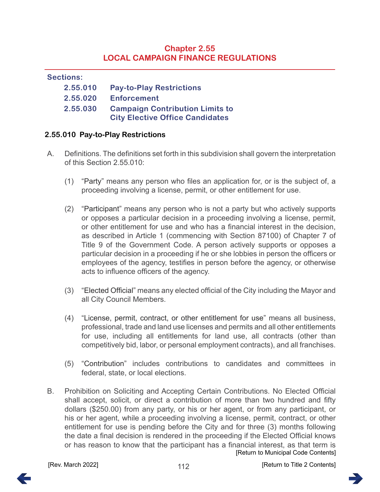# **Chapter 2.55 LOCAL CAMPAIGN FINANCE REGULATIONS**

#### **Sections:**

| 2.55.010 | <b>Pay-to-Play Restrictions</b>        |
|----------|----------------------------------------|
| 2.55.020 | <b>Enforcement</b>                     |
| 2.55.030 | <b>Campaign Contribution Limits to</b> |
|          | <b>City Elective Office Candidates</b> |

### <span id="page-0-0"></span>**2.55.010 Pay-to-Play Restrictions**

- A. Definitions. The definitions set forth in this subdivision shall govern the interpretation of this Section 2.55.010:
	- (1) "Party" means any person who files an application for, or is the subject of, a proceeding involving a license, permit, or other entitlement for use.
	- (2) "Participant" means any person who is not a party but who actively supports or opposes a particular decision in a proceeding involving a license, permit, or other entitlement for use and who has a financial interest in the decision, as described in Article 1 (commencing with Section 87100) of Chapter 7 of Title 9 of the Government Code. A person actively supports or opposes a particular decision in a proceeding if he or she lobbies in person the officers or employees of the agency, testifies in person before the agency, or otherwise acts to influence officers of the agency.
	- (3) "Elected Official" means any elected official of the City including the Mayor and all City Council Members.
	- (4) "License, permit, contract, or other entitlement for use" means all business, professional, trade and land use licenses and permits and all other entitlements for use, including all entitlements for land use, all contracts (other than competitively bid, labor, or personal employment contracts), and all franchises.
	- (5) "Contribution" includes contributions to candidates and committees in federal, state, or local elections.
- B. Prohibition on Soliciting and Accepting Certain Contributions. No Elected Official shall accept, solicit, or direct a contribution of more than two hundred and fifty dollars (\$250.00) from any party, or his or her agent, or from any participant, or his or her agent, while a proceeding involving a license, permit, contract, or other entitlement for use is pending before the City and for three (3) months following the date a final decision is rendered in the proceeding if the Elected Official knows or has reason to know that the participant has a financial interest, as that term is [\[Return to Municipal Code Contents\]](#page--1-1)

112

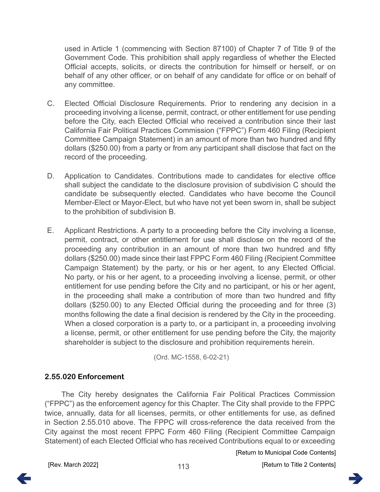used in Article 1 (commencing with Section 87100) of Chapter 7 of Title 9 of the Government Code. This prohibition shall apply regardless of whether the Elected Official accepts, solicits, or directs the contribution for himself or herself, or on behalf of any other officer, or on behalf of any candidate for office or on behalf of any committee.

- C. Elected Official Disclosure Requirements. Prior to rendering any decision in a proceeding involving a license, permit, contract, or other entitlement for use pending before the City, each Elected Official who received a contribution since their last California Fair Political Practices Commission ("FPPC") Form 460 Filing (Recipient Committee Campaign Statement) in an amount of more than two hundred and fifty dollars (\$250.00) from a party or from any participant shall disclose that fact on the record of the proceeding.
- D. Application to Candidates. Contributions made to candidates for elective office shall subject the candidate to the disclosure provision of subdivision C should the candidate be subsequently elected. Candidates who have become the Council Member-Elect or Mayor-Elect, but who have not yet been sworn in, shall be subject to the prohibition of subdivision B.
- E. Applicant Restrictions. A party to a proceeding before the City involving a license, permit, contract, or other entitlement for use shall disclose on the record of the proceeding any contribution in an amount of more than two hundred and fifty dollars (\$250.00) made since their last FPPC Form 460 Filing (Recipient Committee Campaign Statement) by the party, or his or her agent, to any Elected Official. No party, or his or her agent, to a proceeding involving a license, permit, or other entitlement for use pending before the City and no participant, or his or her agent, in the proceeding shall make a contribution of more than two hundred and fifty dollars (\$250.00) to any Elected Official during the proceeding and for three (3) months following the date a final decision is rendered by the City in the proceeding. When a closed corporation is a party to, or a participant in, a proceeding involving a license, permit, or other entitlement for use pending before the City, the majority shareholder is subject to the disclosure and prohibition requirements herein.

(Ord. MC-1558, 6-02-21)

### <span id="page-1-0"></span>**2.55.020 Enforcement**

The City hereby designates the California Fair Political Practices Commission ("FPPC") as the enforcement agency for this Chapter. The City shall provide to the FPPC twice, annually, data for all licenses, permits, or other entitlements for use, as defined in Section 2.55.010 above. The FPPC will cross-reference the data received from the City against the most recent FPPC Form 460 Filing (Recipient Committee Campaign Statement) of each Elected Official who has received Contributions equal to or exceeding

[\[Return to Municipal Code Contents\]](#page--1-1)

[Rev. March 2022] [\[Return to Title 2 Contents\]](#page--1-0)